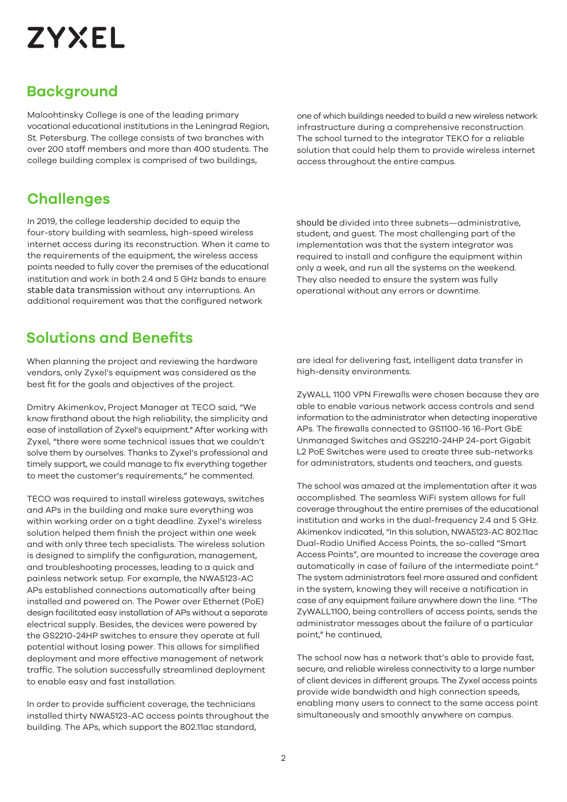# **ZYXEL**

# **Background**

Maloohtinsky College is one of the leading primary vocational educational institutions in the Leningrad Region, St. Petersburg. The college consists of two branches with over 200 staff members and more than 400 students. The college building complex is comprised of two buildings,

# **Challenges**

In 2019, the college leadership decided to equip the four-story building with seamless, high-speed wireless internet access during its reconstruction. When it came to the requirements of the equipment, the wireless access points needed to fully cover the premises of the educational institution and work in both 2.4 and 5 GHz bands to ensure stable data transmission without any interruptions. An additional requirement was that the configured network

# **Solutions and Benefits**

When planning the project and reviewing the hardware vendors, only Zyxel's equipment was considered as the best fit for the goals and objectives of the project.

Dmitry Akimenkov, Project Manager at TECO said, "We know firsthand about the high reliability, the simplicity and ease of installation of Zyxel's equipment." After working with Zyxel, "there were some technical issues that we couldn't solve them by ourselves. Thanks to Zyxel's professional and timely support, we could manage to fix everything together to meet the customer's requirements," he commented.

TECO was required to install wireless gateways, switches and APs in the building and make sure everything was within working order on a tight deadline. Zyxel's wireless solution helped them finish the project within one week and with only three tech specialists. The wireless solution is designed to simplify the configuration, management, and troubleshooting processes, leading to a quick and painless network setup. For example, the NWA5123-AC APs established connections automatically after being installed and powered on. The Power over Ethernet (PoE) design facilitated easy installation of APs without a separate electrical supply. Besides, the devices were powered by the GS2210-24HP switches to ensure they operate at full potential without losing power. This allows for simplified deployment and more effective management of network traffic. The solution successfully streamlined deployment to enable easy and fast installation.

In order to provide sufficient coverage, the technicians installed thirty NWA5123-AC access points throughout the building. The APs, which support the 802.11ac standard,

one of which buildings needed to build a new wireless network infrastructure during a comprehensive reconstruction. The school turned to the integrator TEKO for a reliable solution that could help them to provide wireless internet access throughout the entire campus.

should be divided into three subnets—administrative, student, and guest. The most challenging part of the implementation was that the system integrator was required to install and configure the equipment within only a week, and run all the systems on the weekend. They also needed to ensure the system was fully operational without any errors or downtime.

are ideal for delivering fast, intelligent data transfer in high-density environments.

ZyWALL 1100 VPN Firewalls were chosen because they are able to enable various network access controls and send information to the administrator when detecting inoperative APs. The firewalls connected to GS1100-16 16-Port GbE Unmanaged Switches and GS2210-24HP 24-port Gigabit L2 PoE Switches were used to create three sub-networks for administrators, students and teachers, and guests.

The school was amazed at the implementation after it was accomplished. The seamless WiFi system allows for full coverage throughout the entire premises of the educational institution and works in the dual-frequency 2.4 and 5 GHz. Akimenkov indicated, "In this solution, NWA5123-AC 802.11ac Dual-Radio Unified Access Points, the so-called "Smart Access Points", are mounted to increase the coverage area automatically in case of failure of the intermediate point." The system administrators feel more assured and confident in the system, knowing they will receive a notification in case of any equipment failure anywhere down the line. "The ZyWALL1100, being controllers of access points, sends the administrator messages about the failure of a particular point," he continued,

The school now has a network that's able to provide fast, secure, and reliable wireless connectivity to a large number of client devices in different groups. The Zyxel access points provide wide bandwidth and high connection speeds, enabling many users to connect to the same access point simultaneously and smoothly anywhere on campus.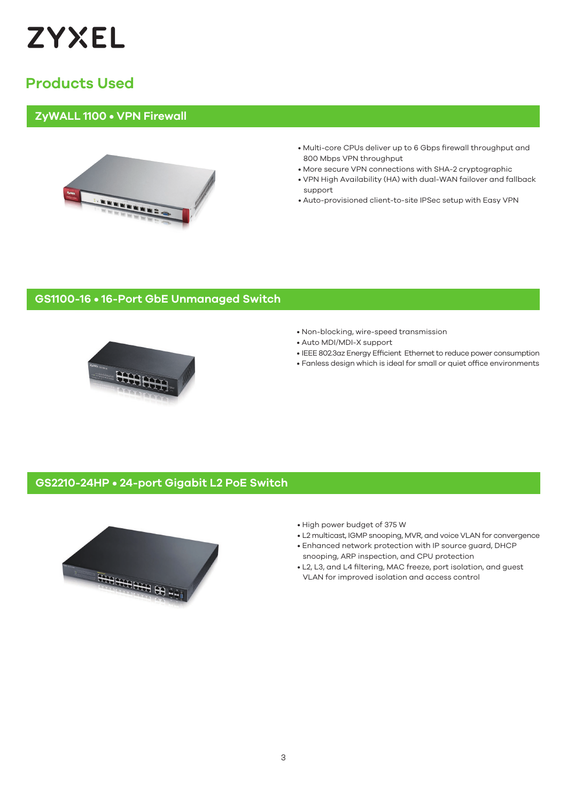

# **Products Used**

#### **ZyWALL 1100 • VPN Firewall**



- Multi-core CPUs deliver up to 6 Gbps firewall throughput and 800 Mbps VPN throughput
- More secure VPN connections with SHA-2 cryptographic
- VPN High Availability (HA) with dual-WAN failover and fallback support
- Auto-provisioned client-to-site IPSec setup with Easy VPN

### **GS1100-16 • 16-Port GbE Unmanaged Switch**



- Non-blocking, wire-speed transmission
- Auto MDI/MDI-X support
- IEEE 802.3az Energy Efficient Ethernet to reduce power consumption
- Fanless design which is ideal for small or quiet office environments

#### **GS2210-24HP • 24-port Gigabit L2 PoE Switch**



- High power budget of 375 W
- L2 multicast, IGMP snooping, MVR, and voice VLAN for convergence
- Enhanced network protection with IP source guard, DHCP snooping, ARP inspection, and CPU protection
- L2, L3, and L4 filtering, MAC freeze, port isolation, and guest VLAN for improved isolation and access control